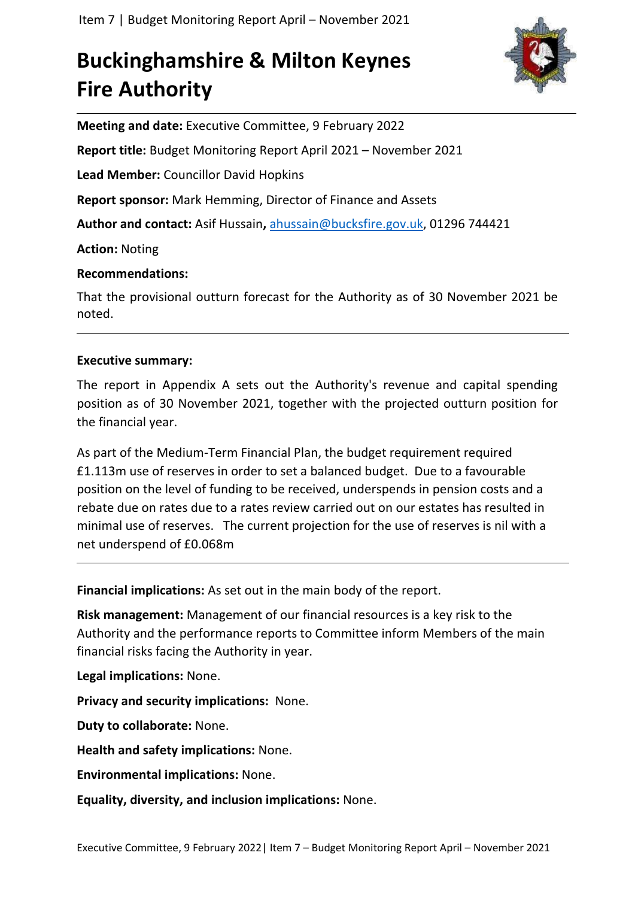# **Buckinghamshire & Milton Keynes Fire Authority**



**Meeting and date:** Executive Committee, 9 February 2022

**Report title:** Budget Monitoring Report April 2021 – November 2021

**Lead Member:** Councillor David Hopkins

**Report sponsor:** Mark Hemming, Director of Finance and Assets

**Author and contact:** Asif Hussain**,** [ahussain@bucksfire.gov.uk,](mailto:ahussain@bucksfire.gov.uk) 01296 744421

**Action:** Noting

# **Recommendations:**

That the provisional outturn forecast for the Authority as of 30 November 2021 be noted.

# **Executive summary:**

The report in Appendix A sets out the Authority's revenue and capital spending position as of 30 November 2021, together with the projected outturn position for the financial year.

As part of the Medium-Term Financial Plan, the budget requirement required £1.113m use of reserves in order to set a balanced budget. Due to a favourable position on the level of funding to be received, underspends in pension costs and a rebate due on rates due to a rates review carried out on our estates has resulted in minimal use of reserves. The current projection for the use of reserves is nil with a net underspend of £0.068m

**Financial implications:** As set out in the main body of the report.

**Risk management:** Management of our financial resources is a key risk to the Authority and the performance reports to Committee inform Members of the main financial risks facing the Authority in year.

**Legal implications:** None.

**Privacy and security implications:** None.

**Duty to collaborate:** None.

**Health and safety implications:** None.

**Environmental implications:** None.

**Equality, diversity, and inclusion implications:** None.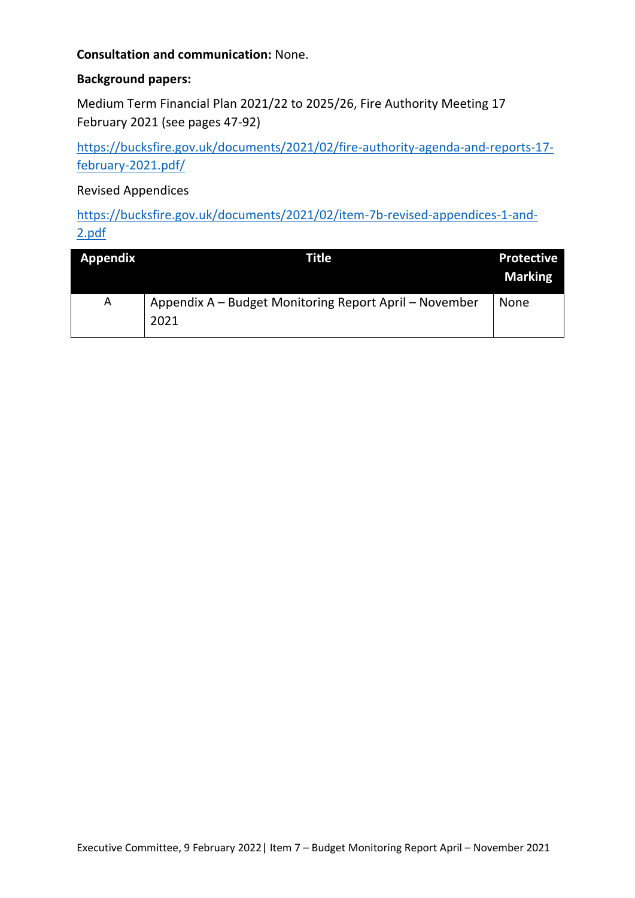# **Consultation and communication:** None.

# **Background papers:**

Medium Term Financial Plan 2021/22 to 2025/26, Fire Authority Meeting 17 February 2021 (see pages 47-92)

[https://bucksfire.gov.uk/documents/2021/02/fire-authority-agenda-and-reports-17](https://bucksfire.gov.uk/documents/2021/02/fire-authority-agenda-and-reports-17-february-2021.pdf/) [february-2021.pdf/](https://bucksfire.gov.uk/documents/2021/02/fire-authority-agenda-and-reports-17-february-2021.pdf/)

Revised Appendices

[https://bucksfire.gov.uk/documents/2021/02/item-7b-revised-appendices-1-and-](https://bucksfire.gov.uk/documents/2021/02/item-7b-revised-appendices-1-and-2.pdf)[2.pdf](https://bucksfire.gov.uk/documents/2021/02/item-7b-revised-appendices-1-and-2.pdf)

| <b>Appendix</b> | Title                                                          | <b>Protective</b><br><b>Marking</b> |
|-----------------|----------------------------------------------------------------|-------------------------------------|
| A               | Appendix A – Budget Monitoring Report April – November<br>2021 | None                                |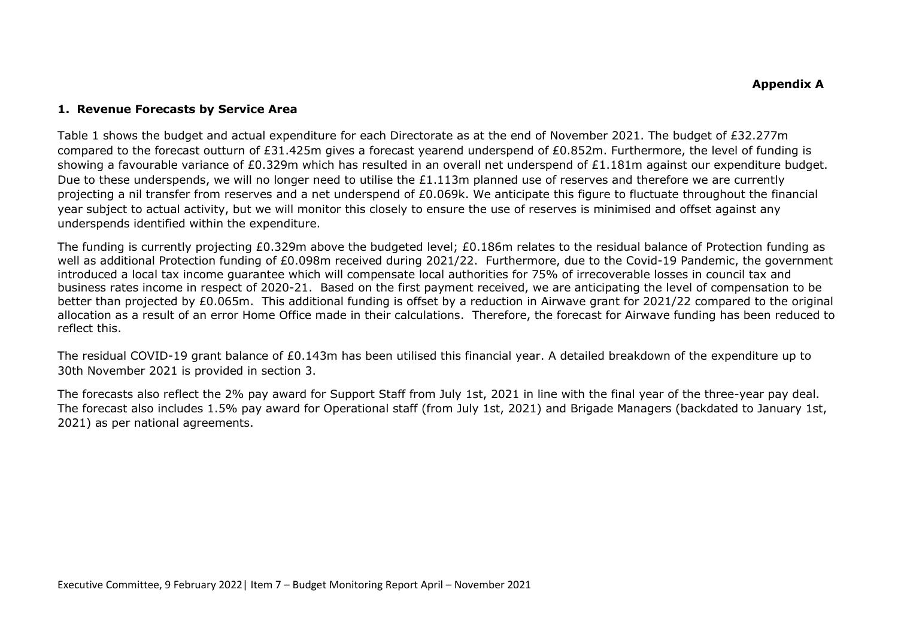#### **1. Revenue Forecasts by Service Area**

Table 1 shows the budget and actual expenditure for each Directorate as at the end of November 2021. The budget of £32.277m compared to the forecast outturn of £31.425m gives a forecast yearend underspend of £0.852m. Furthermore, the level of funding is showing a favourable variance of £0.329m which has resulted in an overall net underspend of £1.181m against our expenditure budget. Due to these underspends, we will no longer need to utilise the £1.113m planned use of reserves and therefore we are currently projecting a nil transfer from reserves and a net underspend of £0.069k. We anticipate this figure to fluctuate throughout the financial year subject to actual activity, but we will monitor this closely to ensure the use of reserves is minimised and offset against any underspends identified within the expenditure.

The funding is currently projecting £0.329m above the budgeted level; £0.186m relates to the residual balance of Protection funding as well as additional Protection funding of £0.098m received during 2021/22. Furthermore, due to the Covid-19 Pandemic, the government introduced a local tax income guarantee which will compensate local authorities for 75% of irrecoverable losses in council tax and business rates income in respect of 2020-21. Based on the first payment received, we are anticipating the level of compensation to be better than projected by £0.065m. This additional funding is offset by a reduction in Airwave grant for 2021/22 compared to the original allocation as a result of an error Home Office made in their calculations. Therefore, the forecast for Airwave funding has been reduced to reflect this.

The residual COVID-19 grant balance of £0.143m has been utilised this financial year. A detailed breakdown of the expenditure up to 30th November 2021 is provided in section 3.

The forecasts also reflect the 2% pay award for Support Staff from July 1st, 2021 in line with the final year of the three-year pay deal. The forecast also includes 1.5% pay award for Operational staff (from July 1st, 2021) and Brigade Managers (backdated to January 1st, 2021) as per national agreements.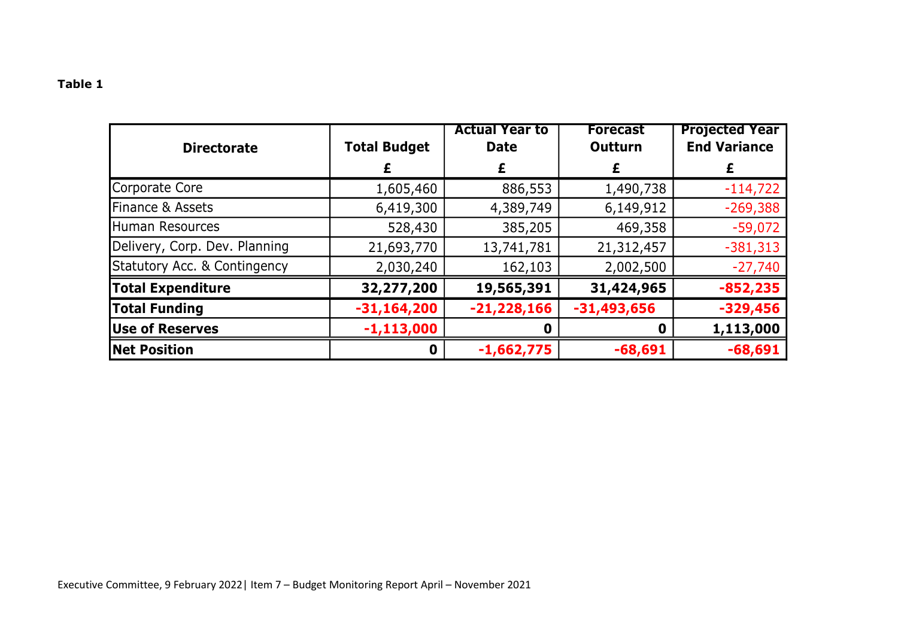| <b>Directorate</b>                      | <b>Total Budget</b> | <b>Actual Year to</b><br><b>Date</b> | <b>Forecast</b><br><b>Outturn</b> | <b>Projected Year</b><br><b>End Variance</b> |
|-----------------------------------------|---------------------|--------------------------------------|-----------------------------------|----------------------------------------------|
|                                         |                     | £                                    | £                                 |                                              |
| Corporate Core                          | 1,605,460           | 886,553                              | 1,490,738                         | $-114,722$                                   |
| Finance & Assets                        | 6,419,300           | 4,389,749                            | 6,149,912                         | $-269,388$                                   |
| Human Resources                         | 528,430             | 385,205                              | 469,358                           | $-59,072$                                    |
| Delivery, Corp. Dev. Planning           | 21,693,770          | 13,741,781                           | 21,312,457                        | $-381,313$                                   |
| <b>Statutory Acc. &amp; Contingency</b> | 2,030,240           | 162,103                              | 2,002,500                         | $-27,740$                                    |
| <b>Total Expenditure</b>                | 32,277,200          | 19,565,391                           | 31,424,965                        | $-852,235$                                   |
| <b>Total Funding</b>                    | $-31,164,200$       | $-21,228,166$                        | $-31,493,656$                     | $-329,456$                                   |
| <b>Use of Reserves</b>                  | $-1,113,000$        | 0                                    |                                   | 1,113,000                                    |
| <b>Net Position</b>                     | $\mathbf 0$         | $-1,662,775$                         | $-68,691$                         | $-68,691$                                    |

# **Table 1**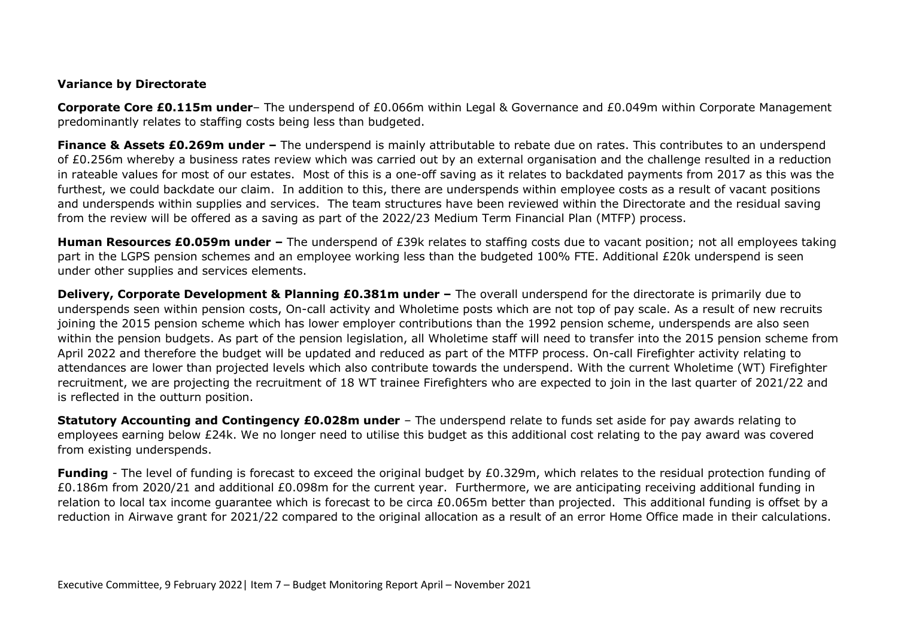## **Variance by Directorate**

**Corporate Core £0.115m under**– The underspend of £0.066m within Legal & Governance and £0.049m within Corporate Management predominantly relates to staffing costs being less than budgeted.

**Finance & Assets £0.269m under –** The underspend is mainly attributable to rebate due on rates. This contributes to an underspend of £0.256m whereby a business rates review which was carried out by an external organisation and the challenge resulted in a reduction in rateable values for most of our estates. Most of this is a one-off saving as it relates to backdated payments from 2017 as this was the furthest, we could backdate our claim. In addition to this, there are underspends within employee costs as a result of vacant positions and underspends within supplies and services. The team structures have been reviewed within the Directorate and the residual saving from the review will be offered as a saving as part of the 2022/23 Medium Term Financial Plan (MTFP) process.

**Human Resources £0.059m under –** The underspend of £39k relates to staffing costs due to vacant position; not all employees taking part in the LGPS pension schemes and an employee working less than the budgeted 100% FTE. Additional £20k underspend is seen under other supplies and services elements.

**Delivery, Corporate Development & Planning £0.381m under –** The overall underspend for the directorate is primarily due to underspends seen within pension costs, On-call activity and Wholetime posts which are not top of pay scale. As a result of new recruits joining the 2015 pension scheme which has lower employer contributions than the 1992 pension scheme, underspends are also seen within the pension budgets. As part of the pension legislation, all Wholetime staff will need to transfer into the 2015 pension scheme from April 2022 and therefore the budget will be updated and reduced as part of the MTFP process. On-call Firefighter activity relating to attendances are lower than projected levels which also contribute towards the underspend. With the current Wholetime (WT) Firefighter recruitment, we are projecting the recruitment of 18 WT trainee Firefighters who are expected to join in the last quarter of 2021/22 and is reflected in the outturn position.

**Statutory Accounting and Contingency £0.028m under** – The underspend relate to funds set aside for pay awards relating to employees earning below £24k. We no longer need to utilise this budget as this additional cost relating to the pay award was covered from existing underspends.

**Funding** - The level of funding is forecast to exceed the original budget by £0.329m, which relates to the residual protection funding of £0.186m from 2020/21 and additional £0.098m for the current year. Furthermore, we are anticipating receiving additional funding in relation to local tax income guarantee which is forecast to be circa £0.065m better than projected. This additional funding is offset by a reduction in Airwave grant for 2021/22 compared to the original allocation as a result of an error Home Office made in their calculations.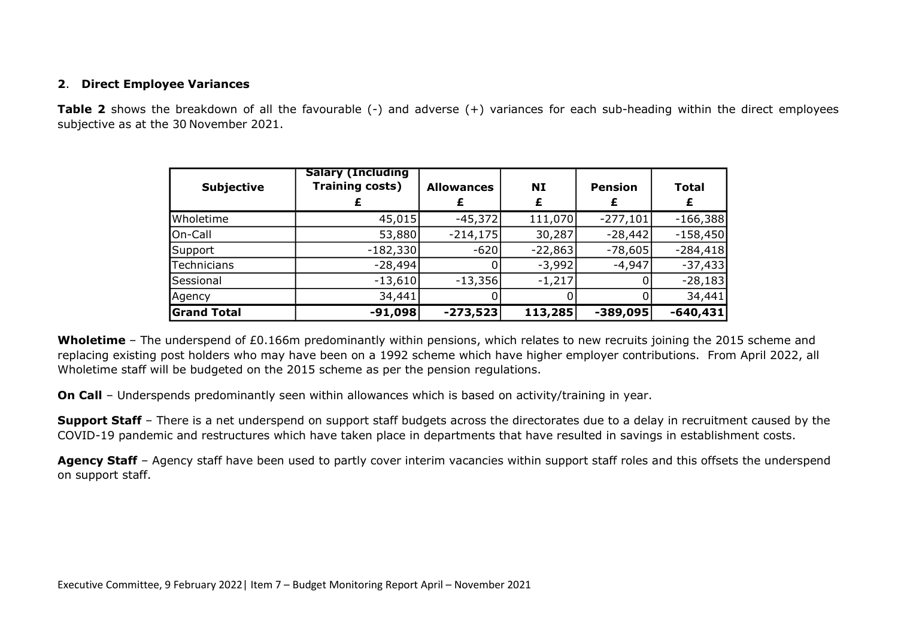## **2**. **Direct Employee Variances**

**Table 2** shows the breakdown of all the favourable (-) and adverse (+) variances for each sub-heading within the direct employees subjective as at the 30 November 2021.

| <b>Subjective</b>  | <b>Salary (Including</b><br><b>Training costs)</b> | <b>Allowances</b> | NI        | <b>Pension</b> | <b>Total</b><br>£ |
|--------------------|----------------------------------------------------|-------------------|-----------|----------------|-------------------|
| Wholetime          | 45,015                                             | $-45,372$         | 111,070   | $-277,101$     | $-166,388$        |
| On-Call            | 53,880                                             | $-214,175$        | 30,287    | $-28,442$      | $-158,450$        |
| Support            | $-182,330$                                         | $-620$            | $-22,863$ | $-78,605$      | $-284,418$        |
| Technicians        | $-28,494$                                          |                   | $-3,992$  | $-4,947$       | $-37,433$         |
| Sessional          | $-13,610$                                          | $-13,356$         | $-1,217$  |                | $-28,183$         |
| Agency             | 34,441                                             |                   |           |                | 34,441            |
| <b>Grand Total</b> | $-91,098$                                          | $-273,523$        | 113,285   | $-389,095$     | $-640, 431$       |

**Wholetime** – The underspend of £0.166m predominantly within pensions, which relates to new recruits joining the 2015 scheme and replacing existing post holders who may have been on a 1992 scheme which have higher employer contributions. From April 2022, all Wholetime staff will be budgeted on the 2015 scheme as per the pension regulations.

**On Call** – Underspends predominantly seen within allowances which is based on activity/training in year.

**Support Staff** – There is a net underspend on support staff budgets across the directorates due to a delay in recruitment caused by the COVID-19 pandemic and restructures which have taken place in departments that have resulted in savings in establishment costs.

Agency Staff - Agency staff have been used to partly cover interim vacancies within support staff roles and this offsets the underspend on support staff.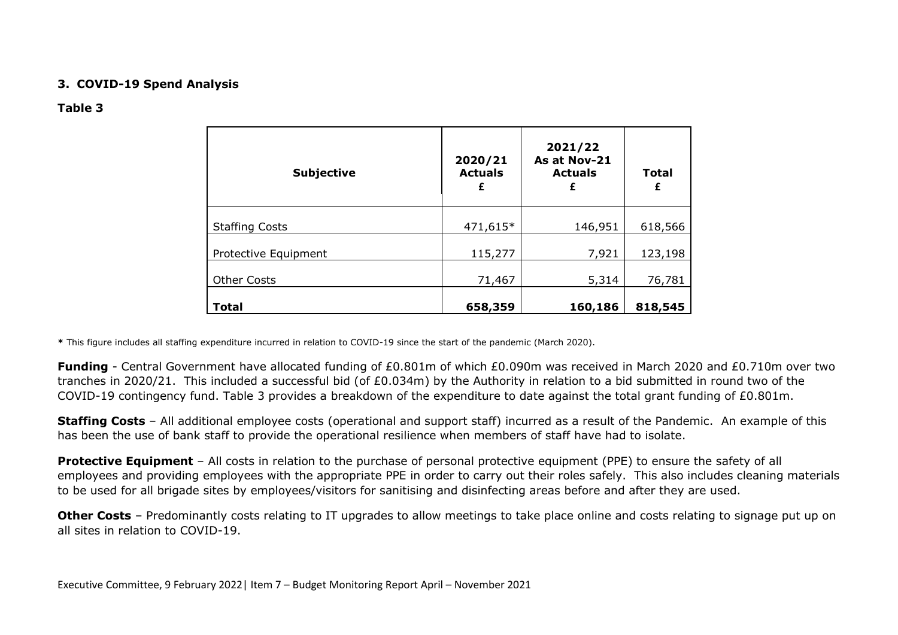### **3. COVID-19 Spend Analysis**

#### **Table 3**

| <b>Subjective</b>     | 2020/21<br><b>Actuals</b><br>£ | 2021/22<br>As at Nov-21<br><b>Actuals</b><br>£ | <b>Total</b><br>£ |  |
|-----------------------|--------------------------------|------------------------------------------------|-------------------|--|
| <b>Staffing Costs</b> | 471,615*                       | 146,951                                        | 618,566           |  |
| Protective Equipment  | 115,277                        | 7,921                                          | 123,198           |  |
| <b>Other Costs</b>    | 71,467                         | 5,314                                          | 76,781            |  |
| <b>Total</b>          | 658,359                        | 160,186                                        | 818,545           |  |

**\*** This figure includes all staffing expenditure incurred in relation to COVID-19 since the start of the pandemic (March 2020).

**Funding** - Central Government have allocated funding of £0.801m of which £0.090m was received in March 2020 and £0.710m over two tranches in 2020/21. This included a successful bid (of £0.034m) by the Authority in relation to a bid submitted in round two of the COVID-19 contingency fund. Table 3 provides a breakdown of the expenditure to date against the total grant funding of £0.801m.

**Staffing Costs** – All additional employee costs (operational and support staff) incurred as a result of the Pandemic. An example of this has been the use of bank staff to provide the operational resilience when members of staff have had to isolate.

**Protective Equipment** – All costs in relation to the purchase of personal protective equipment (PPE) to ensure the safety of all employees and providing employees with the appropriate PPE in order to carry out their roles safely. This also includes cleaning materials to be used for all brigade sites by employees/visitors for sanitising and disinfecting areas before and after they are used.

**Other Costs** – Predominantly costs relating to IT upgrades to allow meetings to take place online and costs relating to signage put up on all sites in relation to COVID-19.

Executive Committee, 9 February 2022| Item 7 – Budget Monitoring Report April – November 2021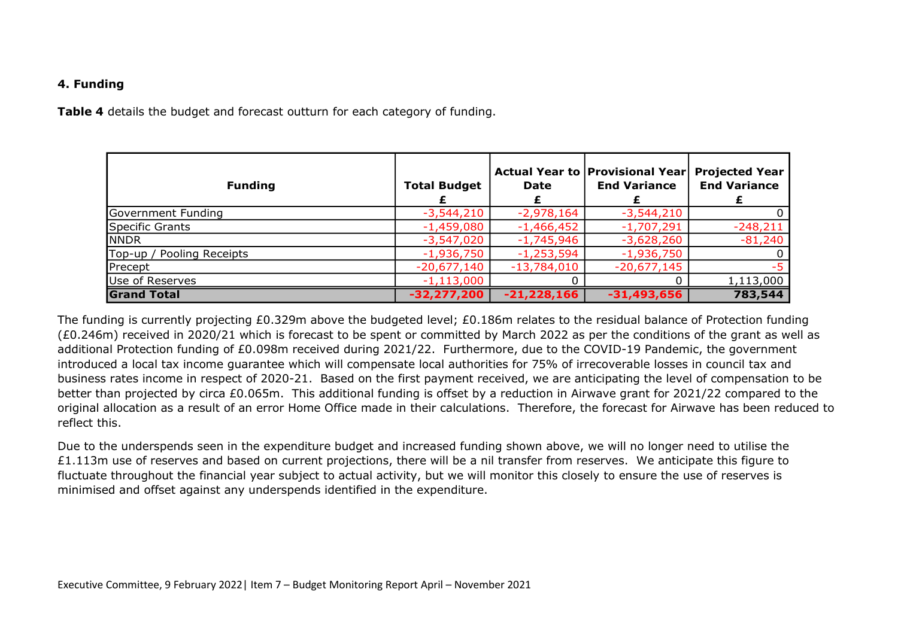## **4. Funding**

**Table 4** details the budget and forecast outturn for each category of funding.

| <b>Funding</b>            | <b>Total Budget</b> | Date          | Actual Year to   Provisional Year <br><b>End Variance</b> | <b>Projected Year</b><br><b>End Variance</b> |
|---------------------------|---------------------|---------------|-----------------------------------------------------------|----------------------------------------------|
| Government Funding        | $-3,544,210$        | $-2,978,164$  | $-3,544,210$                                              |                                              |
| Specific Grants           | $-1,459,080$        | $-1,466,452$  | $-1,707,291$                                              | $-248,211$                                   |
| <b>NNDR</b>               | $-3,547,020$        | $-1,745,946$  | $-3,628,260$                                              | $-81,240$                                    |
| Top-up / Pooling Receipts | $-1,936,750$        | $-1,253,594$  | $-1,936,750$                                              |                                              |
| Precept                   | $-20,677,140$       | $-13,784,010$ | $-20,677,145$                                             |                                              |
| Use of Reserves           | $-1,113,000$        |               |                                                           | 1,113,000                                    |
| <b>Grand Total</b>        | $-32,277,200$       | $-21,228,166$ | $-31,493,656$                                             | 783,544                                      |

The funding is currently projecting £0.329m above the budgeted level; £0.186m relates to the residual balance of Protection funding (£0.246m) received in 2020/21 which is forecast to be spent or committed by March 2022 as per the conditions of the grant as well as additional Protection funding of £0.098m received during 2021/22. Furthermore, due to the COVID-19 Pandemic, the government introduced a local tax income guarantee which will compensate local authorities for 75% of irrecoverable losses in council tax and business rates income in respect of 2020-21. Based on the first payment received, we are anticipating the level of compensation to be better than projected by circa £0.065m. This additional funding is offset by a reduction in Airwave grant for 2021/22 compared to the original allocation as a result of an error Home Office made in their calculations. Therefore, the forecast for Airwave has been reduced to reflect this.

Due to the underspends seen in the expenditure budget and increased funding shown above, we will no longer need to utilise the £1.113m use of reserves and based on current projections, there will be a nil transfer from reserves. We anticipate this figure to fluctuate throughout the financial year subject to actual activity, but we will monitor this closely to ensure the use of reserves is minimised and offset against any underspends identified in the expenditure.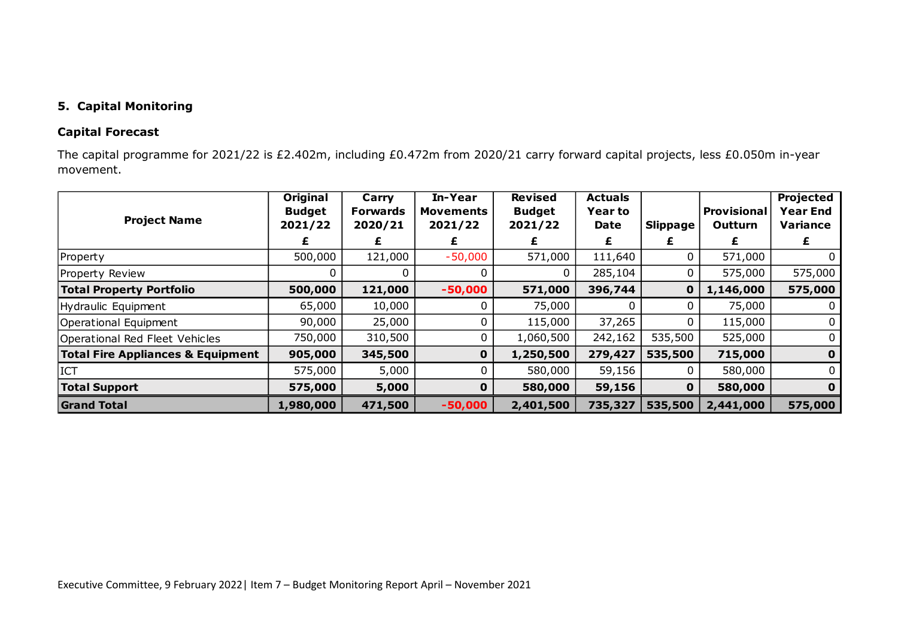## **5. Capital Monitoring**

## **Capital Forecast**

The capital programme for 2021/22 is £2.402m, including £0.472m from 2020/21 carry forward capital projects, less £0.050m in-year movement.

| <b>Project Name</b>                          | Original<br><b>Budget</b><br>2021/22 | Carry<br><b>Forwards</b><br>2020/21 | In-Year<br><b>Movements</b><br>2021/22 | <b>Revised</b><br><b>Budget</b><br>2021/22 | <b>Actuals</b><br><b>Year to</b><br>Date | <b>Slippage</b> | <b>Provisional</b><br>Outturn | <b>Projected</b><br><b>Year End</b><br><b>Variance</b> |
|----------------------------------------------|--------------------------------------|-------------------------------------|----------------------------------------|--------------------------------------------|------------------------------------------|-----------------|-------------------------------|--------------------------------------------------------|
|                                              |                                      | £                                   | £                                      |                                            | £                                        | Ł               | £                             | Ł                                                      |
| Property                                     | 500,000                              | 121,000                             | $-50,000$                              | 571,000                                    | 111,640                                  | 0               | 571,000                       | $\Omega$                                               |
| Property Review                              |                                      |                                     |                                        | 0                                          | 285,104                                  | 0               | 575,000                       | 575,000                                                |
| <b>Total Property Portfolio</b>              | 500,000                              | 121,000                             | $-50,000$                              | 571,000                                    | 396,744                                  | $\mathbf 0$     | 1,146,000                     | 575,000                                                |
| Hydraulic Equipment                          | 65,000                               | 10,000                              |                                        | 75,000                                     |                                          |                 | 75,000                        |                                                        |
| Operational Equipment                        | 90,000                               | 25,000                              | 0                                      | 115,000                                    | 37,265                                   | 0               | 115,000                       | $\Omega$                                               |
| Operational Red Fleet Vehicles               | 750,000                              | 310,500                             | 0                                      | 1,060,500                                  | 242,162                                  | 535,500         | 525,000                       | 0                                                      |
| <b>Total Fire Appliances &amp; Equipment</b> | 905,000                              | 345,500                             | $\mathbf 0$                            | 1,250,500                                  | 279,427                                  | 535,500         | 715,000                       | $\mathbf 0$                                            |
| <b>ICT</b>                                   | 575,000                              | 5,000                               | 0                                      | 580,000                                    | 59,156                                   |                 | 580,000                       | $\mathbf{0}$                                           |
| <b>Total Support</b>                         | 575,000                              | 5,000                               | $\mathbf 0$                            | 580,000                                    | 59,156                                   | $\mathbf{O}$    | 580,000                       | $\mathbf 0$                                            |
| <b>Grand Total</b>                           | 1,980,000                            | 471,500                             | $-50,000$                              | 2,401,500                                  | 735,327                                  | 535,500         | 2,441,000                     | 575,000                                                |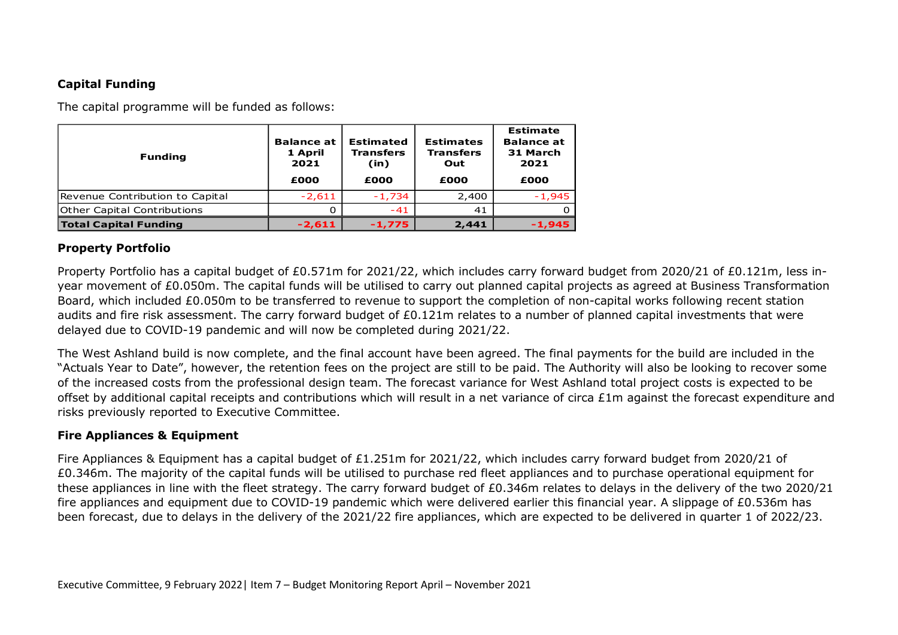# **Capital Funding**

The capital programme will be funded as follows:

| <b>Funding</b>                  | <b>Balance at</b><br>1 April<br>2021<br>£000 | <b>Estimated</b><br><b>Transfers</b><br>(in)<br>£000 | <b>Estimates</b><br><b>Transfers</b><br>Out<br>£000 | <b>Estimate</b><br><b>Balance at</b><br>31 March<br>2021<br>£000 |
|---------------------------------|----------------------------------------------|------------------------------------------------------|-----------------------------------------------------|------------------------------------------------------------------|
| Revenue Contribution to Capital | $-2,611$                                     | $-1,734$                                             | 2,400                                               | $-1,945$                                                         |
| Other Capital Contributions     | 0                                            | $-41$                                                | 41                                                  |                                                                  |
| <b>Total Capital Funding</b>    | $-2,611$                                     | $-1,775$                                             | 2,441                                               | $-1,945$                                                         |

# **Property Portfolio**

Property Portfolio has a capital budget of £0.571m for 2021/22, which includes carry forward budget from 2020/21 of £0.121m, less inyear movement of £0.050m. The capital funds will be utilised to carry out planned capital projects as agreed at Business Transformation Board, which included £0.050m to be transferred to revenue to support the completion of non-capital works following recent station audits and fire risk assessment. The carry forward budget of £0.121m relates to a number of planned capital investments that were delayed due to COVID-19 pandemic and will now be completed during 2021/22.

The West Ashland build is now complete, and the final account have been agreed. The final payments for the build are included in the "Actuals Year to Date", however, the retention fees on the project are still to be paid. The Authority will also be looking to recover some of the increased costs from the professional design team. The forecast variance for West Ashland total project costs is expected to be offset by additional capital receipts and contributions which will result in a net variance of circa £1m against the forecast expenditure and risks previously reported to Executive Committee.

## **Fire Appliances & Equipment**

Fire Appliances & Equipment has a capital budget of £1.251m for 2021/22, which includes carry forward budget from 2020/21 of £0.346m. The majority of the capital funds will be utilised to purchase red fleet appliances and to purchase operational equipment for these appliances in line with the fleet strategy. The carry forward budget of £0.346m relates to delays in the delivery of the two 2020/21 fire appliances and equipment due to COVID-19 pandemic which were delivered earlier this financial year. A slippage of £0.536m has been forecast, due to delays in the delivery of the 2021/22 fire appliances, which are expected to be delivered in quarter 1 of 2022/23.